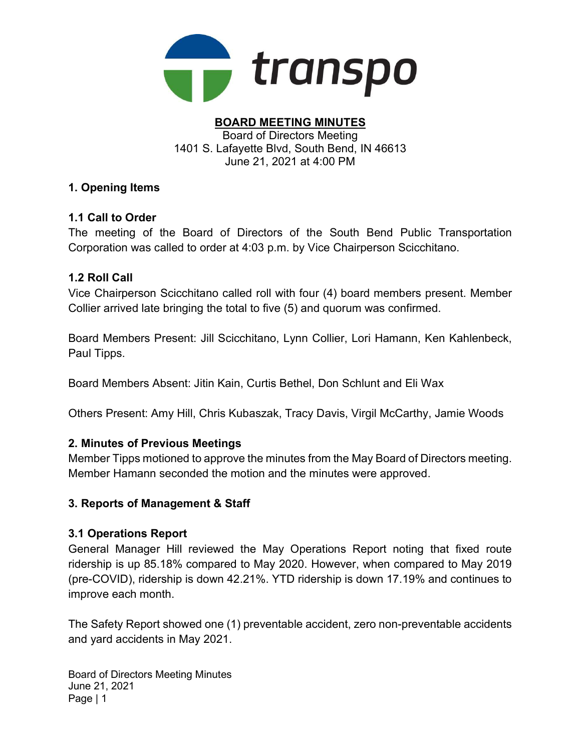

#### BOARD MEETING MINUTES Board of Directors Meeting 1401 S. Lafayette Blvd, South Bend, IN 46613 June 21, 2021 at 4:00 PM

# 1. Opening Items

# 1.1 Call to Order

The meeting of the Board of Directors of the South Bend Public Transportation Corporation was called to order at 4:03 p.m. by Vice Chairperson Scicchitano.

# 1.2 Roll Call

Vice Chairperson Scicchitano called roll with four (4) board members present. Member Collier arrived late bringing the total to five (5) and quorum was confirmed.

Board Members Present: Jill Scicchitano, Lynn Collier, Lori Hamann, Ken Kahlenbeck, Paul Tipps.

Board Members Absent: Jitin Kain, Curtis Bethel, Don Schlunt and Eli Wax

Others Present: Amy Hill, Chris Kubaszak, Tracy Davis, Virgil McCarthy, Jamie Woods

# 2. Minutes of Previous Meetings

Member Tipps motioned to approve the minutes from the May Board of Directors meeting. Member Hamann seconded the motion and the minutes were approved.

# 3. Reports of Management & Staff

# 3.1 Operations Report

General Manager Hill reviewed the May Operations Report noting that fixed route ridership is up 85.18% compared to May 2020. However, when compared to May 2019 (pre-COVID), ridership is down 42.21%. YTD ridership is down 17.19% and continues to improve each month.

The Safety Report showed one (1) preventable accident, zero non-preventable accidents and yard accidents in May 2021.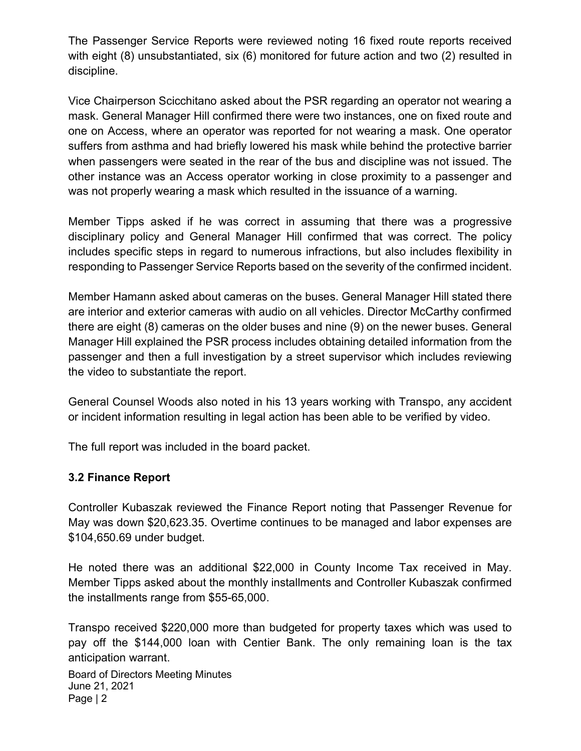The Passenger Service Reports were reviewed noting 16 fixed route reports received with eight (8) unsubstantiated, six (6) monitored for future action and two (2) resulted in discipline.

Vice Chairperson Scicchitano asked about the PSR regarding an operator not wearing a mask. General Manager Hill confirmed there were two instances, one on fixed route and one on Access, where an operator was reported for not wearing a mask. One operator suffers from asthma and had briefly lowered his mask while behind the protective barrier when passengers were seated in the rear of the bus and discipline was not issued. The other instance was an Access operator working in close proximity to a passenger and was not properly wearing a mask which resulted in the issuance of a warning.

Member Tipps asked if he was correct in assuming that there was a progressive disciplinary policy and General Manager Hill confirmed that was correct. The policy includes specific steps in regard to numerous infractions, but also includes flexibility in responding to Passenger Service Reports based on the severity of the confirmed incident.

Member Hamann asked about cameras on the buses. General Manager Hill stated there are interior and exterior cameras with audio on all vehicles. Director McCarthy confirmed there are eight (8) cameras on the older buses and nine (9) on the newer buses. General Manager Hill explained the PSR process includes obtaining detailed information from the passenger and then a full investigation by a street supervisor which includes reviewing the video to substantiate the report.

General Counsel Woods also noted in his 13 years working with Transpo, any accident or incident information resulting in legal action has been able to be verified by video.

The full report was included in the board packet.

# 3.2 Finance Report

Controller Kubaszak reviewed the Finance Report noting that Passenger Revenue for May was down \$20,623.35. Overtime continues to be managed and labor expenses are \$104,650.69 under budget.

He noted there was an additional \$22,000 in County Income Tax received in May. Member Tipps asked about the monthly installments and Controller Kubaszak confirmed the installments range from \$55-65,000.

Transpo received \$220,000 more than budgeted for property taxes which was used to pay off the \$144,000 loan with Centier Bank. The only remaining loan is the tax anticipation warrant.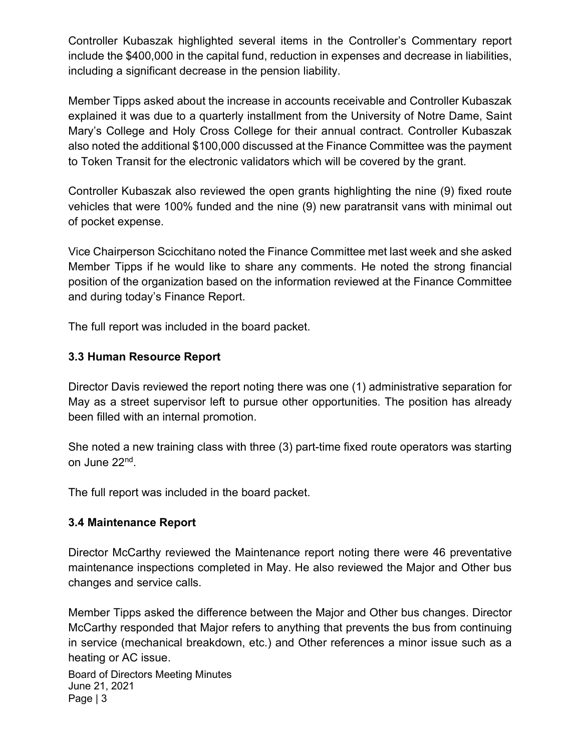Controller Kubaszak highlighted several items in the Controller's Commentary report include the \$400,000 in the capital fund, reduction in expenses and decrease in liabilities, including a significant decrease in the pension liability.

Member Tipps asked about the increase in accounts receivable and Controller Kubaszak explained it was due to a quarterly installment from the University of Notre Dame, Saint Mary's College and Holy Cross College for their annual contract. Controller Kubaszak also noted the additional \$100,000 discussed at the Finance Committee was the payment to Token Transit for the electronic validators which will be covered by the grant.

Controller Kubaszak also reviewed the open grants highlighting the nine (9) fixed route vehicles that were 100% funded and the nine (9) new paratransit vans with minimal out of pocket expense.

Vice Chairperson Scicchitano noted the Finance Committee met last week and she asked Member Tipps if he would like to share any comments. He noted the strong financial position of the organization based on the information reviewed at the Finance Committee and during today's Finance Report.

The full report was included in the board packet.

# 3.3 Human Resource Report

Director Davis reviewed the report noting there was one (1) administrative separation for May as a street supervisor left to pursue other opportunities. The position has already been filled with an internal promotion.

She noted a new training class with three (3) part-time fixed route operators was starting on June 22<sup>nd</sup>.

The full report was included in the board packet.

#### 3.4 Maintenance Report

Director McCarthy reviewed the Maintenance report noting there were 46 preventative maintenance inspections completed in May. He also reviewed the Major and Other bus changes and service calls.

Member Tipps asked the difference between the Major and Other bus changes. Director McCarthy responded that Major refers to anything that prevents the bus from continuing in service (mechanical breakdown, etc.) and Other references a minor issue such as a heating or AC issue.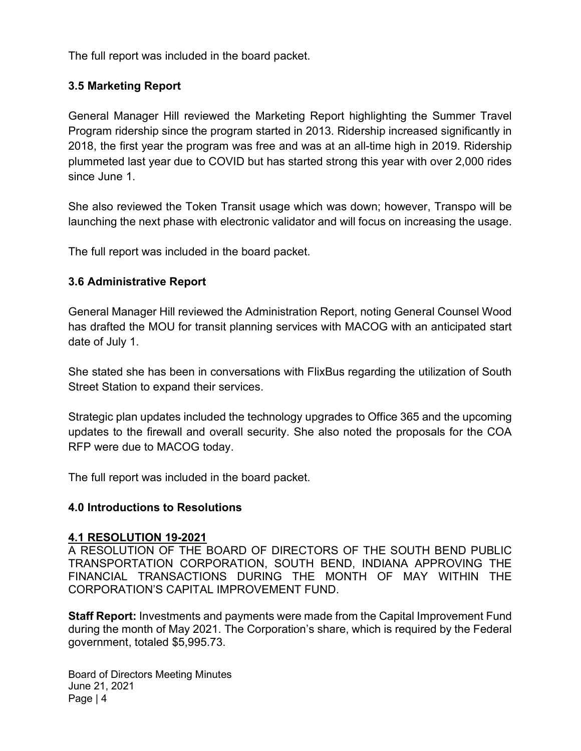The full report was included in the board packet.

# 3.5 Marketing Report

General Manager Hill reviewed the Marketing Report highlighting the Summer Travel Program ridership since the program started in 2013. Ridership increased significantly in 2018, the first year the program was free and was at an all-time high in 2019. Ridership plummeted last year due to COVID but has started strong this year with over 2,000 rides since June 1.

She also reviewed the Token Transit usage which was down; however, Transpo will be launching the next phase with electronic validator and will focus on increasing the usage.

The full report was included in the board packet.

# 3.6 Administrative Report

General Manager Hill reviewed the Administration Report, noting General Counsel Wood has drafted the MOU for transit planning services with MACOG with an anticipated start date of July 1.

She stated she has been in conversations with FlixBus regarding the utilization of South Street Station to expand their services.

Strategic plan updates included the technology upgrades to Office 365 and the upcoming updates to the firewall and overall security. She also noted the proposals for the COA RFP were due to MACOG today.

The full report was included in the board packet.

#### 4.0 Introductions to Resolutions

#### 4.1 RESOLUTION 19-2021

A RESOLUTION OF THE BOARD OF DIRECTORS OF THE SOUTH BEND PUBLIC TRANSPORTATION CORPORATION, SOUTH BEND, INDIANA APPROVING THE FINANCIAL TRANSACTIONS DURING THE MONTH OF MAY WITHIN THE CORPORATION'S CAPITAL IMPROVEMENT FUND.

Staff Report: Investments and payments were made from the Capital Improvement Fund during the month of May 2021. The Corporation's share, which is required by the Federal government, totaled \$5,995.73.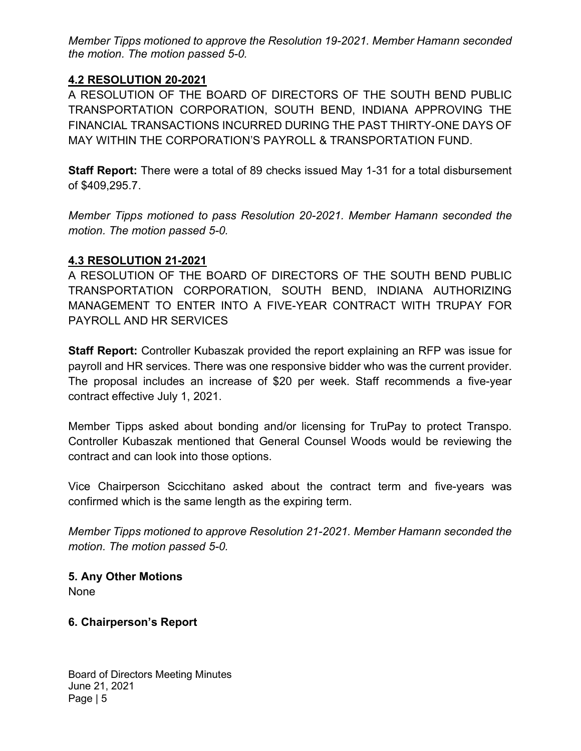Member Tipps motioned to approve the Resolution 19-2021. Member Hamann seconded the motion. The motion passed 5-0.

# 4.2 RESOLUTION 20-2021

A RESOLUTION OF THE BOARD OF DIRECTORS OF THE SOUTH BEND PUBLIC TRANSPORTATION CORPORATION, SOUTH BEND, INDIANA APPROVING THE FINANCIAL TRANSACTIONS INCURRED DURING THE PAST THIRTY-ONE DAYS OF MAY WITHIN THE CORPORATION'S PAYROLL & TRANSPORTATION FUND.

Staff Report: There were a total of 89 checks issued May 1-31 for a total disbursement of \$409,295.7.

Member Tipps motioned to pass Resolution 20-2021. Member Hamann seconded the motion. The motion passed 5-0.

# 4.3 RESOLUTION 21-2021

A RESOLUTION OF THE BOARD OF DIRECTORS OF THE SOUTH BEND PUBLIC TRANSPORTATION CORPORATION, SOUTH BEND, INDIANA AUTHORIZING MANAGEMENT TO ENTER INTO A FIVE-YEAR CONTRACT WITH TRUPAY FOR PAYROLL AND HR SERVICES

Staff Report: Controller Kubaszak provided the report explaining an RFP was issue for payroll and HR services. There was one responsive bidder who was the current provider. The proposal includes an increase of \$20 per week. Staff recommends a five-year contract effective July 1, 2021.

Member Tipps asked about bonding and/or licensing for TruPay to protect Transpo. Controller Kubaszak mentioned that General Counsel Woods would be reviewing the contract and can look into those options.

Vice Chairperson Scicchitano asked about the contract term and five-years was confirmed which is the same length as the expiring term.

Member Tipps motioned to approve Resolution 21-2021. Member Hamann seconded the motion. The motion passed 5-0.

5. Any Other Motions None

# 6. Chairperson's Report